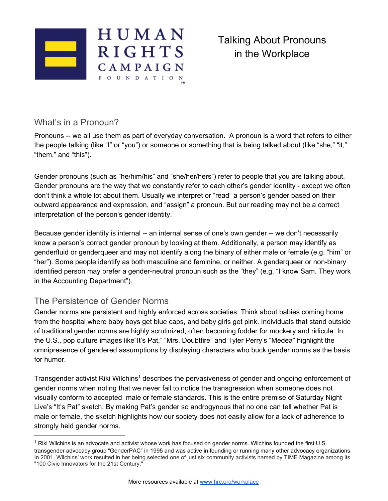

# What's in a Pronoun?

Pronouns -- we all use them as part of everyday conversation. A pronoun is a word that refers to either the people talking (like "I" or "you") or someone or something that is being talked about (like "she," "it," "them," and "this").

Gender pronouns (such as "he/him/his" and "she/her/hers") refer to people that you are talking about. Gender pronouns are the way that we constantly refer to each other's gender identity - except we often don't think a whole lot about them. Usually we interpret or "read" a person's gender based on their outward appearance and expression, and "assign" a pronoun. But our reading may not be a correct interpretation of the person's gender identity.

Because gender identity is internal -- an internal sense of one's own gender -- we don't necessarily know a person's correct gender pronoun by looking at them. Additionally, a person may identify as genderfluid or genderqueer and may not identify along the binary of either male or female (e.g. "him" or "her"). Some people identify as both masculine and feminine, or neither. A genderqueer or non-binary identified person may prefer a gender-neutral pronoun such as the "they" (e.g. "I know Sam. They work in the Accounting Department").

## The Persistence of Gender Norms

Gender norms are persistent and highly enforced across societies. Think about babies coming home from the hospital where baby boys get blue caps, and baby girls get pink. Individuals that stand outside of traditional gender norms are highly scrutinized, often becoming fodder for mockery and ridicule. In the U.S., pop culture images like"It's Pat," "Mrs. Doubtfire" and Tyler Perry's "Medea" highlight the omnipresence of gendered assumptions by displaying characters who buck gender norms as the basis for humor.

Transgender activist Riki Wilchins<sup>1</sup> describes the pervasiveness of gender and ongoing enforcement of gender norms when noting that we never fail to notice the transgression when someone does not visually conform to accepted male or female standards. This is the entire premise of Saturday Night Live's "It's Pat" sketch. By making Pat's gender so androgynous that no one can tell whether Pat is male or female, the sketch highlights how our society does not easily allow for a lack of adherence to strongly held gender norms.

<sup>1</sup> Riki Wilchins is an advocate and activist whose work has focused on gender norms. Wilchins founded the first U.S. transgender advocacy group "GenderPAC" in 1995 and was active in founding or running many other advocacy organizations. In 2001, Wilchins' work resulted in her being selected one of just six community activists named by TIME Magazine among its "100 Civic Innovators for the 21st Century."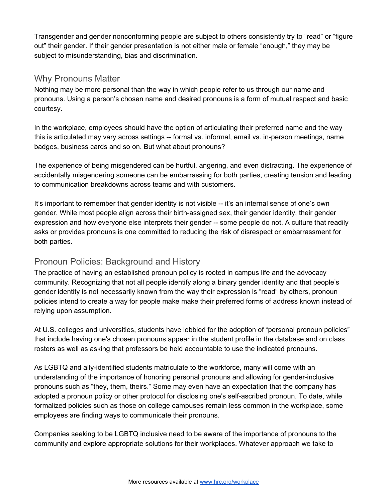Transgender and gender nonconforming people are subject to others consistently try to "read" or "figure out" their gender. If their gender presentation is not either male or female "enough," they may be subject to misunderstanding, bias and discrimination.

#### Why Pronouns Matter

Nothing may be more personal than the way in which people refer to us through our name and pronouns. Using a person's chosen name and desired pronouns is a form of mutual respect and basic courtesy.

In the workplace, employees should have the option of articulating their preferred name and the way this is articulated may vary across settings -- formal vs. informal, email vs. in-person meetings, name badges, business cards and so on. But what about pronouns?

The experience of being misgendered can be hurtful, angering, and even distracting. The experience of accidentally misgendering someone can be embarrassing for both parties, creating tension and leading to communication breakdowns across teams and with customers.

It's important to remember that gender identity is not visible -- it's an internal sense of one's own gender. While most people align across their birth-assigned sex, their gender identity, their gender expression and how everyone else interprets their gender -- some people do not. A culture that readily asks or provides pronouns is one committed to reducing the risk of disrespect or embarrassment for both parties.

## Pronoun Policies: Background and History

The practice of having an established pronoun policy is rooted in campus life and the advocacy community. Recognizing that not all people identify along a binary gender identity and that people's gender identity is not necessarily known from the way their expression is "read" by others, pronoun policies intend to create a way for people make make their preferred forms of address known instead of relying upon assumption.

At U.S. colleges and universities, students have lobbied for the adoption of "personal pronoun policies" that include having one's chosen pronouns appear in the student profile in the database and on class rosters as well as asking that professors be held accountable to use the indicated pronouns.

As LGBTQ and ally-identified students matriculate to the workforce, many will come with an understanding of the importance of honoring personal pronouns and allowing for gender-inclusive pronouns such as "they, them, theirs." Some may even have an expectation that the company has adopted a pronoun policy or other protocol for disclosing one's self-ascribed pronoun. To date, while formalized policies such as those on college campuses remain less common in the workplace, some employees are finding ways to communicate their pronouns.

Companies seeking to be LGBTQ inclusive need to be aware of the importance of pronouns to the community and explore appropriate solutions for their workplaces. Whatever approach we take to